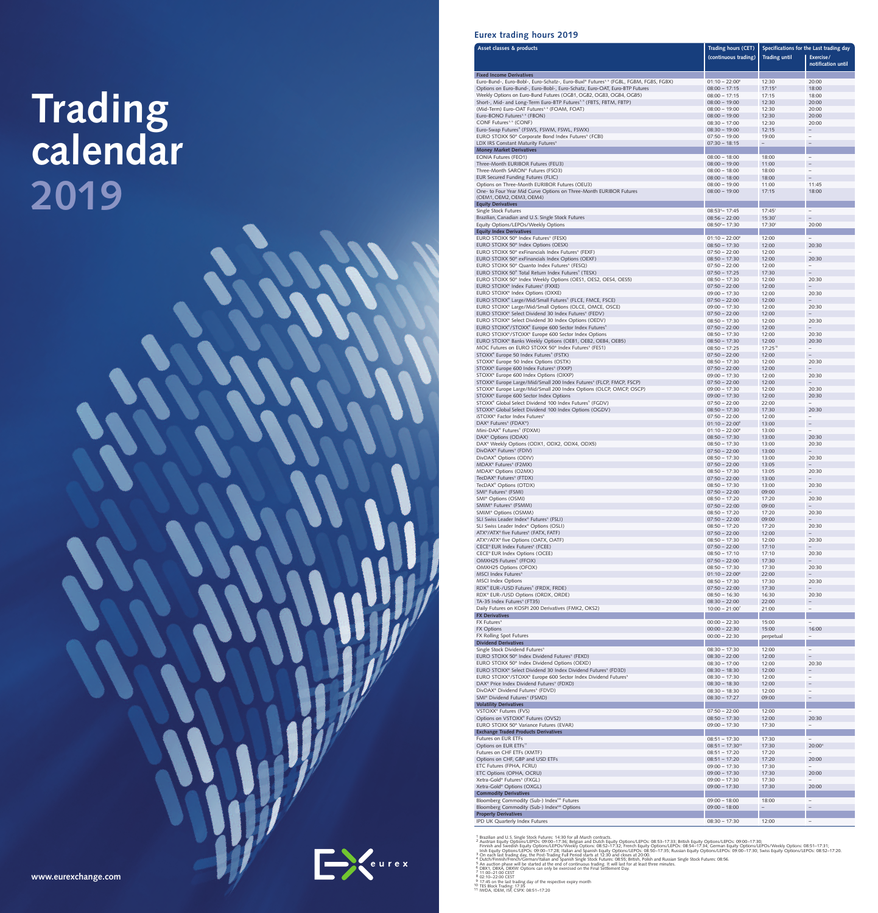# Trading<br>calendar 2019

www.et



# Eurex trading hours 2019

| Asset classes & products                                                                                                                                          | Trading hours (CET)<br>(continuous trading) | <b>Trading until</b>     | Specifications for the Last trading day<br>Exercise/<br>notification until |
|-------------------------------------------------------------------------------------------------------------------------------------------------------------------|---------------------------------------------|--------------------------|----------------------------------------------------------------------------|
| <b>Fixed Income Derivatives</b><br>Euro-Bund-, Euro-Bobl-, Euro-Schatz-, Euro-Buxl® Futures <sup>3,5</sup> (FGBL, FGBM, FGBS, FGBX)                               | $01:10 - 22:00^8$                           | 12:30                    | 20:00                                                                      |
| Options on Euro-Bund-, Euro-Bobl-, Euro-Schatz, Euro-OAT, Euro-BTP Futures                                                                                        | $08:00 - 17:15$                             | $17:15^9$                | 18:00                                                                      |
| Weekly Options on Euro-Bund Futures (OGB1, OGB2, OGB3, OGB4, OGB5)                                                                                                | $08:00 - 17:15$                             | 17:15                    | 18:00                                                                      |
| Short-, Mid- and Long-Term Euro-BTP Futures <sup>3,5</sup> (FBTS, FBTM, FBTP)<br>(Mid-Term) Euro-OAT Futures <sup>3,5</sup> (FOAM, FOAT)                          | $08:00 - 19:00$<br>$08:00 - 19:00$          | 12:30<br>12:30           | 20:00<br>20:00                                                             |
| Euro-BONO Futures <sup>3,5</sup> (FBON)                                                                                                                           | $08:00 - 19:00$                             | 12:30                    | 20:00                                                                      |
| CONF Futures <sup>3, 5</sup> (CONF)                                                                                                                               | $08:30 - 17:00$                             | 12:30                    | 20:00                                                                      |
| Euro-Swap Futures <sup>5</sup> (FSWS, FSWM, FSWL, FSWX)<br>EURO STOXX 50 <sup>®</sup> Corporate Bond Index Futures <sup>5</sup> (FCBI)                            | $08:30 - 19:00$<br>$07:50 - 19:00$          | 12:15<br>19:00           | $\overline{\phantom{0}}$                                                   |
| LDX IRS Constant Maturity Futures <sup>5</sup>                                                                                                                    | $07:30 - 18:15$                             | $\overline{\phantom{0}}$ |                                                                            |
| <b>Money Market Derivatives</b>                                                                                                                                   |                                             |                          |                                                                            |
| <b>EONIA Futures (FEO1)</b><br>Three-Month EURIBOR Futures (FEU3)                                                                                                 | $08:00 - 18:00$<br>$08:00 - 19:00$          | 18:00<br>11:00           | $\overline{\phantom{a}}$                                                   |
| Three-Month SARON® Futures (FSO3)                                                                                                                                 | $08:00 - 18:00$                             | 18:00                    | -                                                                          |
| EUR Secured Funding Futures (FLIC)                                                                                                                                | $08:00 - 18:00$                             | 18:00                    |                                                                            |
| Options on Three-Month EURIBOR Futures (OEU3)<br>One- to Four Year Mid Curve Options on Three-Month EURIBOR Futures                                               | $08:00 - 19:00$<br>$08:00 - 19:00$          | 11:00<br>17:15           | 11:45<br>18:00                                                             |
| (OEM1, OEM2, OEM3, OEM4)                                                                                                                                          |                                             |                          |                                                                            |
| <b>Equity Derivatives</b>                                                                                                                                         |                                             |                          |                                                                            |
| Single Stock Futures<br>Brazilian, Canadian and U.S. Single Stock Futures                                                                                         | $08:53^{4} - 17:45$<br>$08:56 - 22:00$      | $17:45^1$<br>15:30       | $\overline{\phantom{a}}$<br>$-$                                            |
| Equity Options/LEPOs/Weekly Options                                                                                                                               | $08:50^2 - 17:30$                           | 17:30 <sup>2</sup>       | 20:00                                                                      |
| <b>Equity Index Derivatives</b>                                                                                                                                   |                                             |                          |                                                                            |
| EURO STOXX 50 <sup>®</sup> Index Futures <sup>5</sup> (FESX)<br>EURO STOXX 50 <sup>®</sup> Index Options (OESX)                                                   | $01:10 - 22:00^8$<br>$08:50 - 17:30$        | 12:00<br>12:00           | 20:30                                                                      |
| EURO STOXX 50 <sup>®</sup> exFinancials Index Futures <sup>5</sup> (FEXF)                                                                                         | $07:50 - 22:00$                             | 12:00                    |                                                                            |
| EURO STOXX 50 <sup>®</sup> exFinancials Index Options (OEXF)                                                                                                      | $08:50 - 17:30$                             | 12:00                    | 20:30                                                                      |
| EURO STOXX 50° Quanto Index Futures <sup>5</sup> (FESQ)                                                                                                           | $07:50 - 22:00$                             | 12:00                    |                                                                            |
| EURO STOXX 50 <sup>®</sup> Total Return Index Futures <sup>5</sup> (TESX)<br>EURO STOXX 50 <sup>®</sup> Index Weekly Options (OES1, OES2, OES4, OES5)             | $07:50 - 17:25$<br>$08:50 - 17:30$          | 17:30<br>12:00           | 20:30                                                                      |
| EURO STOXX <sup>®</sup> Index Futures <sup>5</sup> (FXXE)                                                                                                         | $07:50 - 22:00$                             | 12:00                    |                                                                            |
| EURO STOXX <sup>®</sup> Index Options (OXXE)                                                                                                                      | $09:00 - 17:30$                             | 12:00                    | 20:30                                                                      |
| EURO STOXX <sup>®</sup> Large/Mid/Small Futures <sup>5</sup> (FLCE, FMCE, FSCE)<br>EURO STOXX <sup>®</sup> Large/Mid/Small Options (OLCE, OMCE, OSCE)             | $07:50 - 22:00$<br>$09:00 - 17:30$          | 12:00<br>12:00           | 20:30                                                                      |
| EURO STOXX® Select Dividend 30 Index Futures <sup>5</sup> (FEDV)                                                                                                  | $07:50 - 22:00$                             | 12:00                    |                                                                            |
| EURO STOXX <sup>®</sup> Select Dividend 30 Index Options (OEDV)                                                                                                   | $08:50 - 17:30$                             | 12:00                    | 20:30                                                                      |
| EURO STOXX <sup>®</sup> /STOXX <sup>®</sup> Europe 600 Sector Index Futures <sup>5</sup><br>EURO STOXX®/STOXX® Europe 600 Sector Index Options                    | $07:50 - 22:00$<br>$08:50 - 17:30$          | 12:00<br>12:00           | 20:30                                                                      |
| EURO STOXX® Banks Weekly Options (OEB1, OEB2, OEB4, OEB5)                                                                                                         | $08:50 - 17:30$                             | 12:00                    | 20:30                                                                      |
| MOC Futures on EURO STOXX 50 <sup>®</sup> Index Futures <sup>5</sup> (FES1)                                                                                       | $08:50 - 17:25$                             | 17:2510                  | $\overline{\phantom{a}}$                                                   |
| STOXX <sup>®</sup> Europe 50 Index Futures <sup>5</sup> (FSTX)                                                                                                    | $07:50 - 22:00$                             | 12:00                    | -<br>20:30                                                                 |
| STOXX <sup>®</sup> Europe 50 Index Options (OSTX)<br>STOXX® Europe 600 Index Futures <sup>5</sup> (FXXP)                                                          | $08:50 - 17:30$<br>$07:50 - 22:00$          | 12:00<br>12:00           |                                                                            |
| STOXX® Europe 600 Index Options (OXXP)                                                                                                                            | $09:00 - 17:30$                             | 12:00                    | 20:30                                                                      |
| STOXX® Europe Large/Mid/Small 200 Index Futures <sup>5</sup> (FLCP, FMCP, FSCP)                                                                                   | $07:50 - 22:00$                             | 12:00                    | $\overline{\phantom{a}}$                                                   |
| STOXX® Europe Large/Mid/Small 200 Index Options (OLCP, OMCP, OSCP)<br>STOXX® Europe 600 Sector Index Options                                                      | $09:00 - 17:30$<br>$09:00 - 17:30$          | 12:00<br>12:00           | 20:30<br>20:30                                                             |
| STOXX <sup>®</sup> Global Select Dividend 100 Index Futures <sup>5</sup> (FGDV)                                                                                   | $07:50 - 22:00$                             | 22:00                    |                                                                            |
| STOXX® Global Select Dividend 100 Index Options (OGDV)                                                                                                            | $08:50 - 17:30$                             | 17:30                    | 20:30                                                                      |
| iSTOXX <sup>®</sup> Factor Index Futures <sup>5</sup><br>DAX <sup>®</sup> Futures <sup>5</sup> (FDAX <sup>®</sup> )                                               | $07:50 - 22:00$<br>$01:10 - 22:00^8$        | 12:00<br>13:00           | -<br>-                                                                     |
| Mini-DAX® Futures <sup>5</sup> (FDXM)                                                                                                                             | $01:10 - 22:00^8$                           | 13:00                    | -                                                                          |
| DAX <sup>®</sup> Options (ODAX)                                                                                                                                   | $08:50 - 17:30$                             | 13:00                    | 20:30                                                                      |
| DAX <sup>®</sup> Weekly Options (ODX1, ODX2, ODX4, ODX5)<br>DivDAX <sup>®</sup> Futures <sup>5</sup> (FDIV)                                                       | $08:50 - 17:30$<br>$07:50 - 22:00$          | 13:00<br>13:00           | 20:30                                                                      |
| DivDAX <sup>®</sup> Options (ODIV)                                                                                                                                | $08:50 - 17:30$                             | 13:00                    | 20:30                                                                      |
| MDAX® Futures <sup>5</sup> (F2MX)                                                                                                                                 | $07:50 - 22:00$                             | 13:05                    |                                                                            |
| MDAX <sup>®</sup> Options (O2MX)<br>TecDAX® Futures <sup>5</sup> (FTDX)                                                                                           | $08:50 - 17:30$<br>$07:50 - 22:00$          | 13:05<br>13:00           | 20:30                                                                      |
| TecDAX <sup>®</sup> Options (OTDX)                                                                                                                                | $08:50 - 17:30$                             | 13:00                    | 20:30                                                                      |
| SMI <sup>®</sup> Futures <sup>5</sup> (FSMI)                                                                                                                      | $07:50 - 22:00$                             | 09:00                    |                                                                            |
| SMI <sup>®</sup> Options (OSMI)<br>SMIM® Futures <sup>5</sup> (FSMM)                                                                                              | $08:50 - 17:20$<br>$07:50 - 22:00$          | 17:20<br>09:00           | 20:30                                                                      |
| SMIM <sup>®</sup> Options (OSMM)                                                                                                                                  | $08:50 - 17:20$                             | 17:20                    | 20:30                                                                      |
| SLI Swiss Leader Index® Futures <sup>5</sup> (FSLI)                                                                                                               | $07:50 - 22:00$                             | 09:00                    |                                                                            |
| SLI Swiss Leader Index <sup>®</sup> Options (OSLI)                                                                                                                | $08:50 - 17:20$                             | 17:20                    | 20:30                                                                      |
| ATX®/ATX® five Futures <sup>5</sup> (FATX, FATF)<br>ATX®/ATX® five Options (OATX, OATF)                                                                           | $07:50 - 22:00$<br>$08:50 - 17:30$          | 12:00<br>12:00           | 20:30                                                                      |
| CECE® EUR Index Futures <sup>5</sup> (FCEE)                                                                                                                       | $07:50 - 22:00$                             | 17:10                    |                                                                            |
| CECE® EUR Index Options (OCEE)                                                                                                                                    | $08:50 - 17:10$                             | 17:10                    | 20:30                                                                      |
| OMXH25 Futures <sup>5</sup> (FFOX)<br>OMXH25 Options (OFOX)                                                                                                       | $07:50 - 22:00$<br>$08:50 - 17:30$          | 17:30<br>17:30           | 20:30                                                                      |
| MSCI Index Futures <sup>5</sup>                                                                                                                                   | $01:10 - 22:00^8$                           | 22:00                    |                                                                            |
| <b>MSCI Index Options</b>                                                                                                                                         | $08:50 - 17:30$                             | 17:30                    | 20:30                                                                      |
| RDX <sup>®</sup> EUR-/USD Futures <sup>5</sup> (FRDX, FRDE)<br>RDX <sup>®</sup> EUR-/USD Options (ORDX, ORDE)                                                     | $07:50 - 22:00$<br>$08:50 - 16:30$          | 17:30<br>16:30           | 20:30                                                                      |
| TA-35 Index Futures <sup>5</sup> (FT35)                                                                                                                           | $08:30 - 22:00$                             | 22:00                    |                                                                            |
| Daily Futures on KOSPI 200 Derivatives (FMK2, OKS2)                                                                                                               | $10:00 - 21:00^7$                           | 21:00                    | $\overline{\phantom{a}}$                                                   |
| <b>FX Derivatives</b><br>FX Futures <sup>5</sup>                                                                                                                  | $00:00 - 22:30$                             | 15:00                    |                                                                            |
| <b>FX Options</b>                                                                                                                                                 | $00:00 - 22:30$                             | 15:00                    | 16:00                                                                      |
| FX Rolling Spot Futures                                                                                                                                           | $00:00 - 22:30$                             | perpetual                | $\overline{\phantom{a}}$                                                   |
| <b>Dividend Derivatives</b><br>Single Stock Dividend Futures <sup>5</sup>                                                                                         | $08:30 - 17:30$                             | 12:00                    | $\overline{\phantom{0}}$                                                   |
| EURO STOXX 50 <sup>®</sup> Index Dividend Futures <sup>5</sup> (FEXD)                                                                                             | $08:30 - 22:00$                             | 12:00                    |                                                                            |
| EURO STOXX 50 <sup>®</sup> Index Dividend Options (OEXD)                                                                                                          | $08:30 - 17:00$                             | 12:00                    | 20:30                                                                      |
| EURO STOXX <sup>®</sup> Select Dividend 30 Index Dividend Futures <sup>5</sup> (FD3D)<br>EURO STOXX®/STOXX® Europe 600 Sector Index Dividend Futures <sup>5</sup> | $08:30 - 18:30$<br>$08:30 - 17:30$          | 12:00<br>12:00           |                                                                            |
| DAX <sup>®</sup> Price Index Dividend Futures <sup>5</sup> (FDXD)                                                                                                 | $08:30 - 18:30$                             | 12:00                    |                                                                            |
| DivDAX <sup>®</sup> Dividend Futures <sup>5</sup> (FDVD)                                                                                                          | $08:30 - 18:30$                             | 12:00                    | $\overline{\phantom{0}}$                                                   |
| SMI <sup>®</sup> Dividend Futures <sup>5</sup> (FSMD)<br><b>Volatility Derivatives</b>                                                                            | $08:30 - 17:27$                             | 09:00                    | $\overline{\phantom{0}}$                                                   |
| VSTOXX <sup>®</sup> Futures (FVS)                                                                                                                                 | $07:50 - 22:00$                             | 12:00                    | $\overline{\phantom{0}}$                                                   |
| Options on VSTOXX® Futures (OVS2)                                                                                                                                 | $08:50 - 17:30$                             | 12:00                    | 20:30                                                                      |
| EURO STOXX 50 <sup>®</sup> Variance Futures (EVAR)                                                                                                                | $09:00 - 17:30$                             | 17:30                    |                                                                            |
| <b>Exchange Traded Products Derivatives</b><br>Futures on EUR ETFs                                                                                                | $08:51 - 17:30$                             | 17:30                    | -                                                                          |
| Options on EUR ETFs <sup>11</sup>                                                                                                                                 | $08:51 - 17:30^{10}$                        | 17:30                    | 20:00 <sup>6</sup>                                                         |
| Futures on CHF ETFs (XMTF)                                                                                                                                        | $08:51 - 17:20$                             | 17:20                    |                                                                            |
| Options on CHF, GBP and USD ETFs<br>ETC Futures (FPHA, FCRU)                                                                                                      | $08:51 - 17:20$<br>$09:00 - 17:30$          | 17:20<br>17:30           | 20:00<br>$\overline{\phantom{0}}$                                          |
| ETC Options (OPHA, OCRU)                                                                                                                                          | $09:00 - 17:30$                             | 17:30                    | 20:00                                                                      |
| Xetra-Gold® Futures <sup>5</sup> (FXGL)                                                                                                                           | $09:00 - 17:30$                             | 17:30                    | $\overline{\phantom{0}}$                                                   |
| Xetra-Gold® Options (OXGL)                                                                                                                                        | $09:00 - 17:30$                             | 17:30                    | 20:00                                                                      |
| <b>Commodity Derivatives</b><br>Bloomberg Commodity (Sub-) Index <sup>5M</sup> Futures                                                                            | $09:00 - 18:00$                             | 18:00                    | $\qquad \qquad -$                                                          |
| Bloomberg Commodity (Sub-) Index <sup>5M</sup> Options                                                                                                            | $09:00 - 18:00$                             | $\qquad \qquad -$        | $\overline{\phantom{a}}$                                                   |
| <b>Property Derivatives</b>                                                                                                                                       |                                             |                          |                                                                            |
| IPD UK Quarterly Index Futures                                                                                                                                    | $08:30 - 17:30$                             | 12:00                    | $\overline{\phantom{a}}$                                                   |

| urexchange.com | Preurex |  |
|----------------|---------|--|

1 Brazilian and U.S. Single Stock Futures: 14:30 for all March contracts.<br>
2 Austrian Equity Options/LEPOS: 09:00–17:36; Belgian and Dutch Equity Options/LEPOs: 08:53–17:33; British Equity Options/LEPOS: 09:00–17:30; Ferns